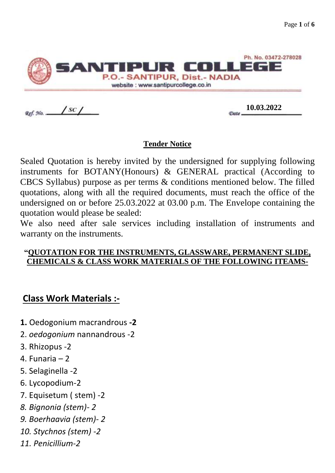

Ref. No. ..

 $\frac{10.03.2022}{2000}$ 

#### **Tender Notice**

Sealed Quotation is hereby invited by the undersigned for supplying following instruments for BOTANY(Honours) & GENERAL practical (According to CBCS Syllabus) purpose as per terms & conditions mentioned below. The filled quotations, along with all the required documents, must reach the office of the undersigned on or before 25.03.2022 at 03.00 p.m. The Envelope containing the quotation would please be sealed:

We also need after sale services including installation of instruments and warranty on the instruments.

#### **"QUOTATION FOR THE INSTRUMENTS, GLASSWARE, PERMANENT SLIDE, CHEMICALS & CLASS WORK MATERIALS OF THE FOLLOWING ITEAMS-**

#### **Class Work Materials :-**

- **1.** Oedogonium macrandrous **-2**
- 2. *oedogonium* nannandrous -2
- 3. Rhizopus -2
- 4. Funaria 2
- 5. Selaginella -2
- 6. Lycopodium-2
- 7. Equisetum ( stem) -2
- *8. Bignonia (stem)- 2*
- *9. Boerhaavia (stem)- 2*
- *10. Stychnos (stem) -2*
- *11. Penicillium-2*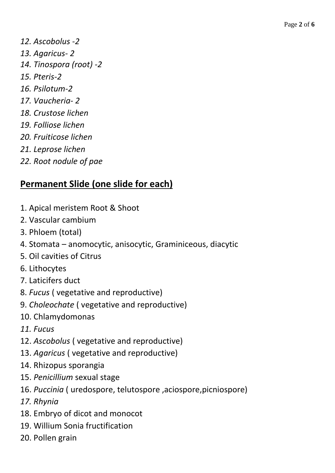*12. Ascobolus -2 13. Agaricus- 2 14. Tinospora (root) -2 15. Pteris-2 16. Psilotum-2 17. Vaucheria- 2 18. Crustose lichen 19. Folliose lichen 20. Fruiticose lichen 21. Leprose lichen 22. Root nodule of pae* 

# **Permanent Slide (one slide for each)**

- 1. Apical meristem Root & Shoot
- 2. Vascular cambium
- 3. Phloem (total)
- 4. Stomata anomocytic, anisocytic, Graminiceous, diacytic
- 5. Oil cavities of Citrus
- 6. Lithocytes
- 7. Laticifers duct
- 8. *Fucus* ( vegetative and reproductive)
- 9. *Choleochate* ( vegetative and reproductive)
- 10. Chlamydomonas
- *11. Fucus*
- 12. *Ascobolus* ( vegetative and reproductive)
- 13. *Agaricus* ( vegetative and reproductive)
- 14. Rhizopus sporangia
- 15. *Penicillium* sexual stage
- 16. *Puccinia* ( uredospore, telutospore ,aciospore,picniospore)
- *17. Rhynia*
- 18. Embryo of dicot and monocot
- 19. Willium Sonia fructification
- 20. Pollen grain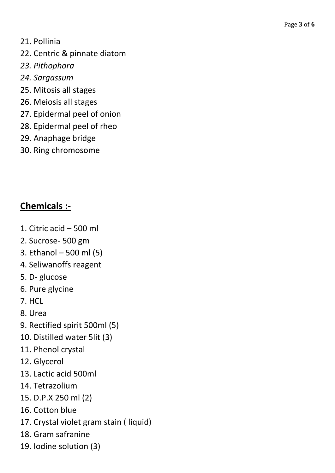- 21. Pollinia
- 22. Centric & pinnate diatom
- *23. Pithophora*
- *24. Sargassum*
- 25. Mitosis all stages
- 26. Meiosis all stages
- 27. Epidermal peel of onion
- 28. Epidermal peel of rheo
- 29. Anaphage bridge
- 30. Ring chromosome

## **Chemicals :-**

- 1. Citric acid 500 ml
- 2. Sucrose- 500 gm
- 3. Ethanol 500 ml (5)
- 4. Seliwanoffs reagent
- 5. D- glucose
- 6. Pure glycine
- 7. HCL
- 8. Urea
- 9. Rectified spirit 500ml (5)
- 10. Distilled water 5lit (3)
- 11. Phenol crystal
- 12. Glycerol
- 13. Lactic acid 500ml
- 14. Tetrazolium
- 15. D.P.X 250 ml (2)
- 16. Cotton blue
- 17. Crystal violet gram stain ( liquid)
- 18. Gram safranine
- 19. Iodine solution (3)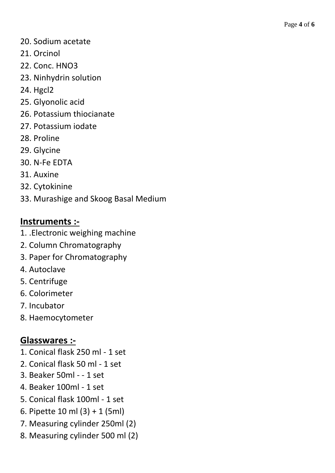- 20. Sodium acetate
- 21. Orcinol
- 22. Conc. HNO3
- 23. Ninhydrin solution
- 24. Hgcl2
- 25. Glyonolic acid
- 26. Potassium thiocianate
- 27. Potassium iodate
- 28. Proline
- 29. Glycine
- 30. N-Fe EDTA
- 31. Auxine
- 32. Cytokinine
- 33. Murashige and Skoog Basal Medium

## **Instruments :-**

- 1. .Electronic weighing machine
- 2. Column Chromatography
- 3. Paper for Chromatography
- 4. Autoclave
- 5. Centrifuge
- 6. Colorimeter
- 7. Incubator
- 8. Haemocytometer

## **Glasswares :-**

- 1. Conical flask 250 ml 1 set
- 2. Conical flask 50 ml 1 set
- 3. Beaker 50ml - 1 set
- 4. Beaker 100ml 1 set
- 5. Conical flask 100ml 1 set
- 6. Pipette 10 ml (3) + 1 (5ml)
- 7. Measuring cylinder 250ml (2)
- 8. Measuring cylinder 500 ml (2)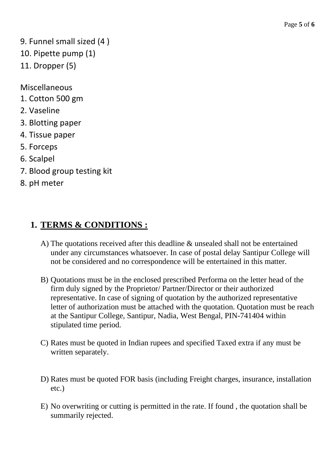- 9. Funnel small sized (4 )
- 10. Pipette pump (1)
- 11. Dropper (5)

Miscellaneous

- 1. Cotton 500 gm
- 2. Vaseline
- 3. Blotting paper
- 4. Tissue paper
- 5. Forceps
- 6. Scalpel
- 7. Blood group testing kit
- 8. pH meter

### **1. TERMS & CONDITIONS :**

- A) The quotations received after this deadline & unsealed shall not be entertained under any circumstances whatsoever. In case of postal delay Santipur College will not be considered and no correspondence will be entertained in this matter.
- B) Quotations must be in the enclosed prescribed Performa on the letter head of the firm duly signed by the Proprietor/ Partner/Director or their authorized representative. In case of signing of quotation by the authorized representative letter of authorization must be attached with the quotation. Quotation must be reach at the Santipur College, Santipur, Nadia, West Bengal, PIN-741404 within stipulated time period.
- C) Rates must be quoted in Indian rupees and specified Taxed extra if any must be written separately.
- D) Rates must be quoted FOR basis (including Freight charges, insurance, installation etc.)
- E) No overwriting or cutting is permitted in the rate. If found , the quotation shall be summarily rejected.